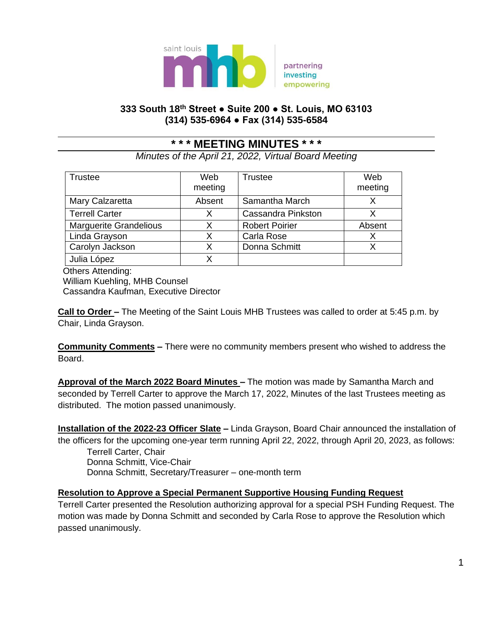

# **333 South 18th Street ● Suite 200 ● St. Louis, MO 63103 (314) 535-6964 ● Fax (314) 535-6584**

# **\* \* \* MEETING MINUTES \* \* \***

*Minutes of the April 21, 2022, Virtual Board Meeting*

| <b>Trustee</b>                | Web<br>meeting | <b>Trustee</b>            | Web<br>meeting |
|-------------------------------|----------------|---------------------------|----------------|
| Mary Calzaretta               | Absent         | Samantha March            |                |
| <b>Terrell Carter</b>         | Х              | <b>Cassandra Pinkston</b> |                |
| <b>Marguerite Grandelious</b> | X              | <b>Robert Poirier</b>     | Absent         |
| Linda Grayson                 | Χ              | Carla Rose                | Х              |
| Carolyn Jackson               | Χ              | Donna Schmitt             |                |
| Julia López                   | x              |                           |                |

Others Attending:

 William Kuehling, MHB Counsel Cassandra Kaufman, Executive Director

**Call to Order –** The Meeting of the Saint Louis MHB Trustees was called to order at 5:45 p.m. by Chair, Linda Grayson.

**Community Comments –** There were no community members present who wished to address the Board.

**Approval of the March 2022 Board Minutes –** The motion was made by Samantha March and seconded by Terrell Carter to approve the March 17, 2022, Minutes of the last Trustees meeting as distributed. The motion passed unanimously.

**Installation of the 2022-23 Officer Slate –** Linda Grayson, Board Chair announced the installation of the officers for the upcoming one-year term running April 22, 2022, through April 20, 2023, as follows: Terrell Carter, Chair

Donna Schmitt, Vice-Chair Donna Schmitt, Secretary/Treasurer – one-month term

## **Resolution to Approve a Special Permanent Supportive Housing Funding Request**

Terrell Carter presented the Resolution authorizing approval for a special PSH Funding Request. The motion was made by Donna Schmitt and seconded by Carla Rose to approve the Resolution which passed unanimously.